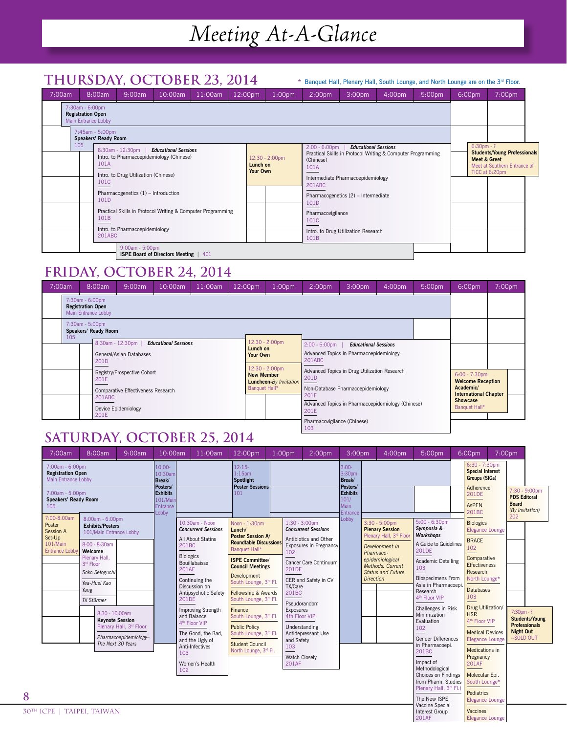# *Meeting At-A-Glance*

### **thursday, october 23, 2014**

#### \* Banquet Hall, Plenary Hall, South Lounge, and North Lounge are on the 3rd Floor.

201AF

Elegance Lounge

| 7:00am | 8:00am                                                             | 9:00am                                                                                               | $10:00$ am                                   | 11:00am | 12:00pm              | 1:00 <sub>pm</sub> | 2:00 <sub>pm</sub>                    | 3:00 <sub>pm</sub>                                                                                                              | 4:00 <sub>pm</sub>                      | 5:00 <sub>pm</sub>                                                                    | 6:00pm | 7:00 <sub>pm</sub> |  |
|--------|--------------------------------------------------------------------|------------------------------------------------------------------------------------------------------|----------------------------------------------|---------|----------------------|--------------------|---------------------------------------|---------------------------------------------------------------------------------------------------------------------------------|-----------------------------------------|---------------------------------------------------------------------------------------|--------|--------------------|--|
|        | 7:30am - 6:00pm<br><b>Registration Open</b><br>Main Entrance Lobby |                                                                                                      |                                              |         |                      |                    |                                       |                                                                                                                                 |                                         |                                                                                       |        |                    |  |
|        | 7:45am - 5:00pm<br>Speakers' Ready Room                            |                                                                                                      |                                              |         |                      |                    |                                       |                                                                                                                                 |                                         |                                                                                       |        |                    |  |
|        | 105<br>101A<br>101C                                                | 8:30am - 12:30pm<br>Intro. to Pharmacoepidemiology (Chinese)<br>Intro. to Drug Utilization (Chinese) | <b>Educational Sessions</b>                  |         | Lunch on<br>Your Own | 12:30 - 2:00pm     | $2:00 - 6:00$ pm<br>(Chinese)<br>101A | <b>Educational Sessions</b><br>Practical Skills in Protocol Writing & Computer Programming<br>Intermediate Pharmacoepidemiology | $6:30pm - ?$<br><b>Meet &amp; Greet</b> | <b>Students/Young Professionals</b><br>Meet at Southern Entrance of<br>TICC at 6:20pm |        |                    |  |
|        | 101D                                                               | Pharmacogenetics (1) - Introduction<br>Practical Skills in Protocol Writing & Computer Programming   |                                              |         |                      |                    | 201ABC<br>101 <sub>D</sub>            | Pharmacogenetics (2) - Intermediate                                                                                             |                                         |                                                                                       |        |                    |  |
|        | 101B<br>201ABC                                                     | Intro. to Pharmacoepidemiology                                                                       |                                              |         |                      |                    | Pharmacovigilance<br>101C             | Intro. to Drug Utilization Research                                                                                             |                                         |                                                                                       |        |                    |  |
|        |                                                                    | 9:00am - 5:00pm                                                                                      | <b>ISPE Board of Directors Meeting   401</b> |         |                      |                    | 101B                                  |                                                                                                                                 |                                         |                                                                                       |        |                    |  |

### **friday, october 24, 2014**

| 7:00am | 8:00am                                                             | 9:00am                                                                                             | 10:00am | 11:00am | 12:00pm                            | 1:00 <sub>pm</sub>               | 2:00 <sub>pm</sub>                 | 3:00 <sub>pm</sub>                                                                | 4:00 <sub>pm</sub> | 5:00 <sub>pm</sub>               | $6:00$ pm                                                                                 | 7:00 <sub>pm</sub> |
|--------|--------------------------------------------------------------------|----------------------------------------------------------------------------------------------------|---------|---------|------------------------------------|----------------------------------|------------------------------------|-----------------------------------------------------------------------------------|--------------------|----------------------------------|-------------------------------------------------------------------------------------------|--------------------|
|        | 7:30am - 6:00pm<br><b>Registration Open</b><br>Main Entrance Lobby |                                                                                                    |         |         |                                    |                                  |                                    |                                                                                   |                    |                                  |                                                                                           |                    |
| 105    | 7:30am - 5:00pm<br>Speakers' Ready Room                            |                                                                                                    |         |         |                                    |                                  |                                    |                                                                                   |                    |                                  |                                                                                           |                    |
|        | 201D                                                               | 8:30am - 12:30pm<br><b>Educational Sessions</b><br>Lunch on<br>General/Asian Databases<br>Your Own |         |         |                                    | 12:30 - 2:00pm<br>12:30 - 2:00pm | $2:00 - 6:00$ pm<br>201ABC         | <b>Educational Sessions</b><br>Advanced Topics in Pharmacoepidemiology            |                    |                                  |                                                                                           |                    |
|        | 201E                                                               | Registry/Prospective Cohort<br>Comparative Effectiveness Research                                  |         |         | <b>New Member</b><br>Banquet Hall* | <b>Luncheon-By Invitation</b>    | 201D                               | Advanced Topics in Drug Utilization Research<br>Non-Database Pharmacoepidemiology |                    |                                  | $6:00 - 7:30$ pm<br><b>Welcome Reception</b><br>Academic/<br><b>International Chapter</b> |                    |
|        | 201ABC<br>201E                                                     | Device Epidemiology                                                                                |         |         |                                    |                                  | 201F<br>201E                       | Advanced Topics in Pharmacoepidemiology (Chinese)                                 |                    | <b>Showcase</b><br>Banquet Hall* |                                                                                           |                    |
|        |                                                                    |                                                                                                    |         |         |                                    |                                  | Pharmacovigilance (Chinese)<br>103 |                                                                                   |                    |                                  |                                                                                           |                    |

## **Saturday, october 25, 2014**

| 7:00am                                                                                                                      | 8:00am                                                                                                                                                                    | 9:00am                                                                                                                                                   | 10:00am                                                             | 11:00am                                                                                                                                                                                                                                                                                                                                                                         | 12:00pm                                                                                                                                                                                                                                                                                                                                                                                                                                                | $1:00$ pm  | 2:00 <sub>pm</sub>                                                                                                                                                                                                                                                                                                                | 3:00 <sub>pm</sub>       | 4:00pm                                                                                                                                                                                                  | 5:00pm                                                                                                                                                                                                                                                                                                                                                                                                                                                                                  |  | 6:00pm<br>7:00pm                                                                                                                                                                                                                                                                                                                                                                                                        |                                                                                |                       |
|-----------------------------------------------------------------------------------------------------------------------------|---------------------------------------------------------------------------------------------------------------------------------------------------------------------------|----------------------------------------------------------------------------------------------------------------------------------------------------------|---------------------------------------------------------------------|---------------------------------------------------------------------------------------------------------------------------------------------------------------------------------------------------------------------------------------------------------------------------------------------------------------------------------------------------------------------------------|--------------------------------------------------------------------------------------------------------------------------------------------------------------------------------------------------------------------------------------------------------------------------------------------------------------------------------------------------------------------------------------------------------------------------------------------------------|------------|-----------------------------------------------------------------------------------------------------------------------------------------------------------------------------------------------------------------------------------------------------------------------------------------------------------------------------------|--------------------------|---------------------------------------------------------------------------------------------------------------------------------------------------------------------------------------------------------|-----------------------------------------------------------------------------------------------------------------------------------------------------------------------------------------------------------------------------------------------------------------------------------------------------------------------------------------------------------------------------------------------------------------------------------------------------------------------------------------|--|-------------------------------------------------------------------------------------------------------------------------------------------------------------------------------------------------------------------------------------------------------------------------------------------------------------------------------------------------------------------------------------------------------------------------|--------------------------------------------------------------------------------|-----------------------|
| 7:00am - 6:00pm<br><b>Registration Open</b><br>Main Entrance Lobby<br>7:00am - 5:00pm<br><b>Speakers' Ready Room</b><br>105 |                                                                                                                                                                           | $10:00-$<br>10:30am<br>Break/<br>Posters/<br><b>Exhibits</b><br>101/Main<br>Entrance                                                                     | $12:15-$<br>$1:15$ pm<br>Spotlight<br><b>Poster Sessions</b><br>101 |                                                                                                                                                                                                                                                                                                                                                                                 | $3:00-$<br>3:30pm<br><b>Break</b><br>Posters/<br><b>Exhibits</b><br>101/<br>Main                                                                                                                                                                                                                                                                                                                                                                       |            |                                                                                                                                                                                                                                                                                                                                   |                          | $6:30 - 7:30$ pm<br><b>Special Interest</b><br>Groups (SIGs)<br>Adherence<br>201DE<br>AsPEN                                                                                                             | $7:30 - 9:00$ pm<br><b>PDS Editoral</b><br><b>Board</b><br>(By invitation)                                                                                                                                                                                                                                                                                                                                                                                                              |  |                                                                                                                                                                                                                                                                                                                                                                                                                         |                                                                                |                       |
| 7:00-8:00am<br>Poster<br>Session A<br>Set-Up<br>101/Main<br><b>Entrance Lobby</b>                                           | 8:00am - 6:00pm<br><b>Exhibits/Posters</b><br>8:00 - 8:30am<br>Welcome<br>Plenary Hall,<br>3 <sup>rd</sup> Floor<br>Soko Setoguchi<br>Yea-Huei Kao<br>Yang<br>Til Stürmer | 101/Main Entrance Lobby<br>8:30 - 10:00am<br><b>Kevnote Session</b><br>Plenary Hall, 3 <sup>rd</sup> Floor<br>Pharmacoepidemiology-<br>The Next 30 Years | Lobby                                                               | 10:30am - Noon<br><b>Concurrent Sessions</b><br>All About Statins<br>201BC<br><b>Biologics</b><br><b>Bouillabaisse</b><br><b>201AF</b><br>Continuing the<br>Discussion on<br>Antipsychotic Safety<br>201DE<br><b>Improving Strength</b><br>and Balance<br>4 <sup>th</sup> Floor VIP<br>The Good, the Bad.<br>and the Ugly of<br>Anti-Infectives<br>103<br>Women's Health<br>102 | Noon - 1:30pm<br>Lunch/<br><b>Poster Session A/</b><br><b>Roundtable Discussions</b><br>Banquet Hall*<br><b>ISPE Committee/</b><br><b>Council Meetings</b><br>Development<br>South Lounge, 3 <sup>rd</sup> Fl.<br>Fellowship & Awards<br>South Lounge, 3 <sup>rd</sup> Fl.<br>Finance<br>South Lounge, 3 <sup>rd</sup> Fl.<br><b>Public Policy</b><br>South Lounge, 3 <sup>rd</sup> Fl.<br><b>Student Council</b><br>North Lounge, 3 <sup>rd</sup> Fl. | 102<br>103 | $1:30 - 3:00$ pm<br><b>Concurrent Sessions</b><br>Antibiotics and Other<br>Exposures in Pregnancy<br>Cancer Care Continuum<br>201DE<br>CER and Safety in CV<br>TX/Care<br>201BC<br>Pseudorandom<br><b>Exposures</b><br>4th Floor VIP<br>Understanding<br>Antidepressant Use<br>and Safety<br><b>Watch Closely</b><br><b>201AF</b> | <b>Entrance</b><br>Lobby | $3:30 - 5:00$ pm<br><b>Plenary Session</b><br>Plenary Hall, 3 <sup>rd</sup> Floor<br>Development in<br>Pharmaco-<br>epidemiological<br>Methods: Current<br><b>Status and Future</b><br><b>Direction</b> | $5:00 - 6:30$ pm<br>Symposia &<br>Workshops<br>A Guide to Guidelines<br>201DE<br><b>Academic Detailing</b><br>103<br><b>Biospecimens From</b><br>Asia in Pharmacoepi<br>Research<br>4 <sup>th</sup> Floor VIP<br>Challenges in Risk<br>Minimization<br>Evaluation<br>102<br><b>Gender Differences</b><br>in Pharmacoepi.<br>201BC<br>Impact of<br>Methodological<br>Choices on Findings<br>from Pharm. Studies<br>Plenary Hall, 3 <sup>rd</sup> Fl.)<br>The New ISPE<br>Vaccine Special |  | 201BC<br><b>Biologics</b><br><b>Elegance Lounge</b><br><b>BRACE</b><br>102<br>Comparative<br><b>Effectiveness</b><br>Research<br>North Lounge*<br><b>Databases</b><br>103<br>Drug Utilization/<br><b>HSR</b><br>4 <sup>th</sup> Floor VIP<br><b>Medical Devices</b><br><b>Elegance Lounge</b><br>Medications in<br>Pregnancy<br>201AF<br>Molecular Epi.<br>South Lounge*<br><b>Pediatrics</b><br><b>Elegance Lounge</b> | 202<br>$7:30$ pm - ?<br><b>Professionals</b><br><b>Night Out</b><br>--SOLD OUT | <b>Students/Young</b> |
| ICPE   TAIPEI, TAIWAN                                                                                                       |                                                                                                                                                                           |                                                                                                                                                          |                                                                     |                                                                                                                                                                                                                                                                                                                                                                                 |                                                                                                                                                                                                                                                                                                                                                                                                                                                        |            |                                                                                                                                                                                                                                                                                                                                   |                          |                                                                                                                                                                                                         | Interest Group                                                                                                                                                                                                                                                                                                                                                                                                                                                                          |  | Vaccines                                                                                                                                                                                                                                                                                                                                                                                                                |                                                                                |                       |